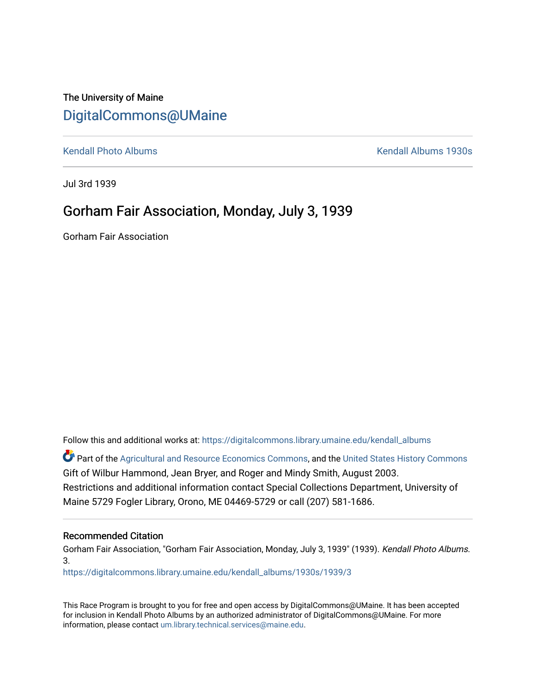## The University of Maine [DigitalCommons@UMaine](https://digitalcommons.library.umaine.edu/)

[Kendall Photo Albums](https://digitalcommons.library.umaine.edu/kendall_albums) [Kendall Albums 1930s](https://digitalcommons.library.umaine.edu/kendall_albums/1930s) 

Jul 3rd 1939

### Gorham Fair Association, Monday, July 3, 1939

Gorham Fair Association

Follow this and additional works at: [https://digitalcommons.library.umaine.edu/kendall\\_albums](https://digitalcommons.library.umaine.edu/kendall_albums?utm_source=digitalcommons.library.umaine.edu%2Fkendall_albums%2F1930s%2F1939%2F3&utm_medium=PDF&utm_campaign=PDFCoverPages) 

**C** Part of the [Agricultural and Resource Economics Commons,](http://network.bepress.com/hgg/discipline/317?utm_source=digitalcommons.library.umaine.edu%2Fkendall_albums%2F1930s%2F1939%2F3&utm_medium=PDF&utm_campaign=PDFCoverPages) and the [United States History Commons](http://network.bepress.com/hgg/discipline/495?utm_source=digitalcommons.library.umaine.edu%2Fkendall_albums%2F1930s%2F1939%2F3&utm_medium=PDF&utm_campaign=PDFCoverPages) Gift of Wilbur Hammond, Jean Bryer, and Roger and Mindy Smith, August 2003. Restrictions and additional information contact Special Collections Department, University of Maine 5729 Fogler Library, Orono, ME 04469-5729 or call (207) 581-1686.

#### Recommended Citation

Gorham Fair Association, "Gorham Fair Association, Monday, July 3, 1939" (1939). Kendall Photo Albums. 3.

[https://digitalcommons.library.umaine.edu/kendall\\_albums/1930s/1939/3](https://digitalcommons.library.umaine.edu/kendall_albums/1930s/1939/3?utm_source=digitalcommons.library.umaine.edu%2Fkendall_albums%2F1930s%2F1939%2F3&utm_medium=PDF&utm_campaign=PDFCoverPages) 

This Race Program is brought to you for free and open access by DigitalCommons@UMaine. It has been accepted for inclusion in Kendall Photo Albums by an authorized administrator of DigitalCommons@UMaine. For more information, please contact [um.library.technical.services@maine.edu](mailto:um.library.technical.services@maine.edu).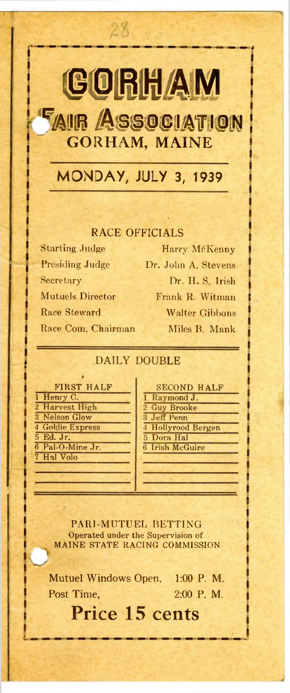# **GORHAM**

28

**FAIR ASSOCIATION GORHAM, MAINE**

**MONDAY, JULY 3, 1939**

### RACE OFFICIALS

Starting Judge Harry McKenny Presiding Judge Dr. John A. Stevens Secretary Dr. H. S. Irish Mutuels Director Frank R. Witman Race Steward Walter Gibbons Race Com. Chairman Miles B. Mank

### DAILY DOUBLE

| <b>FIRST HALF</b> | <b>SECOND HAL</b>  |
|-------------------|--------------------|
| 1 Henry C.        | 1 Raymond J.       |
| 2 Harvest High    | 2 Guy Brooke       |
| 3 Nelson Glow     | 3 Jeff Penn        |
| 4 Goldie Express  | 4 Hollyrood Bergen |
| 5 Ed. Jr.         | 5 Dora Hal         |
| 6 Pal-O-Mine Jr.  | 6 Irish McGuire    |
| 7 Hal Volo        |                    |
|                   |                    |
|                   |                    |

| FIRST HALF       | <b>SECOND HALF</b> |
|------------------|--------------------|
| $nryC$ .         | 1 Raymond J.       |
| rvest High       | 2 Guy Brooke       |
| <b>Ison Glow</b> | 3 Jeff Penn        |
| die Express      | 4 Hollyrood Bergen |
| Jr.              | 5 Dora Hal         |
| $-0$ -Mine Jr.   | 6 Irish McGuire    |
| l Volo           |                    |

PARI-MUTUEL BETTING Operated under the Supervision of MAINE STATE RACING COMMISSION

Mutuel Windows Open, 1:00 P. M. Post Time, 2:00 P. M.

## **Price 15 cents**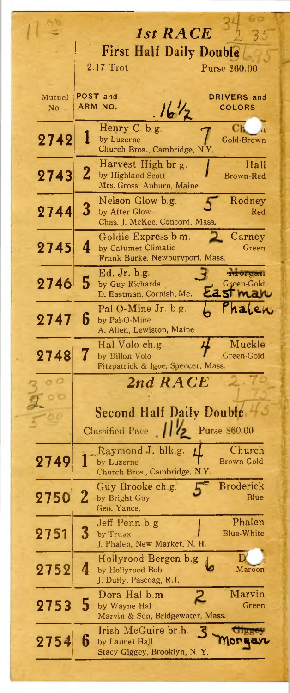|        | 1st RACE                                                                  |
|--------|---------------------------------------------------------------------------|
|        | <b>First Half Daily Double</b>                                            |
|        | 2.17 Trot<br>Purse \$60.00                                                |
|        |                                                                           |
| Mutuel | POST and<br><b>DRIVERS</b> and                                            |
| No.    | $16\frac{1}{2}$<br>ARM NO.<br><b>COLORS</b>                               |
|        | Henry C. b.g.<br>Сh                                                       |
| 2742   | l<br>by Luzerne<br>Gold-Brown<br>Church Bros., Cambridge, N.Y.            |
|        | Hall<br>Harvest High br.g.                                                |
| 2743   | $\overline{2}$<br>by Highland Scott<br>Brown-Red                          |
|        | Mrs. Gross, Auburn, Maine                                                 |
| 2744   | Nelson Glow b.g.<br>Rodney<br>$\bf{3}$<br>by After Glow<br>Red            |
|        | Chas. J. McKee, Concord, Mass.                                            |
|        | Carney<br>Goldie Express b m.                                             |
| 2745   | 4<br>by Calumet Climatic<br>Green<br>Frank Burke, Newburyport, Mass.      |
|        | Ed. Jr. b.g.<br><b>Aforgan</b>                                            |
| 2746   | 5<br>Green-Gold<br>by Guy Richards<br>Eastman<br>D. Eastman, Cornish, Me. |
|        | L Phalen<br>Pal O-Mine Jr. b.g.                                           |
| 2747   | 6<br>by Pal-O-Mine                                                        |
|        | A. Allen, Lewiston, Maine                                                 |
| 2748   | Muckle<br>Hal Volo ch.g.<br>by Dillon Volo<br>Green-Gold                  |
|        | Fitzpatrick & Igoe, Spencer, Mass.                                        |
| o o    | 2nd RACE                                                                  |
| o o    |                                                                           |
|        | Second Half Daily Double 40                                               |
|        | Classified Pace   2 Purse \$60.00                                         |
|        | Church<br>Raymond J. blk.g.                                               |
| 2749   | Brown-Gold<br>by Luzerne<br>д                                             |
|        | Church Bros., Cambridge, N.Y.                                             |
| 2750   | <b>Broderick</b><br>Guy Brooke ch.g.<br>2<br>Blue<br>by Bright Guy        |
|        | Geo. Yance,                                                               |
|        | Phalen<br>Jeff Penn b g<br>3<br><b>Blue-White</b>                         |
| 2751   | by Truax<br>J. Phalen, New Market, N. H.                                  |
|        | D<br>Hollyrood Bergen b.g                                                 |
| 2752   | 4<br>Maroon<br>by Hollyrood Bob<br>J. Duffy, Pascoag, R.I.                |
|        | Marvin<br>Dora Hal b.m.                                                   |
| 2753   | 5<br>Green<br>by Wayne Hal                                                |
|        | Marvin & Son, Bridgewater, Mass.                                          |
| 2754   | Irish McGuire br.h.<br>6<br>by Laurel Hall                                |
|        | Stacy Giggey, Brooklyn, N.Y.                                              |
|        |                                                                           |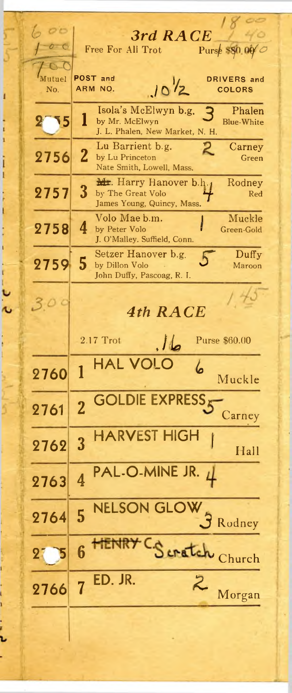| O <sub>C</sub>            |                                                             |
|---------------------------|-------------------------------------------------------------|
|                           | 3rd RACE<br>Free For All Trot                               |
|                           | Purse SSO 00                                                |
| $\Gamma$<br>Mutuel        | <b>POST</b> and<br>DRIVERS and                              |
| No.                       | $10^{1/2}$<br>ARM NO.<br><b>COLORS</b>                      |
|                           | Isola's McElwyn b.g.<br>Phalen                              |
| ۱5                        | Á<br>1<br>by Mr. McElwyn<br><b>Blue-White</b>               |
|                           | J. L. Phalen, New Market, N. H.                             |
| 2756                      | Lu Barrient b.g.<br>Carney<br>2                             |
|                           | by Lu Princeton<br>Green<br>Nate Smith, Lowell, Mass.       |
|                           | <b>Mr.</b> Harry Hanover b.h.<br>Rodney                     |
| 2757                      | 3<br>by The Great Volo<br>Red                               |
|                           | James Young, Quincy, Mass.                                  |
| 2758                      | Volo Mae b.m.<br>Muckle<br>4<br>by Peter Volo<br>Green-Gold |
|                           | J. O'Malley. Suffield, Conn.                                |
|                           | Setzer Hanover b.g.<br>Duffy                                |
| 2759                      | 5<br>by Dillon Volo<br>Maroon<br>John Duffy, Pascoag, R. I. |
|                           |                                                             |
|                           |                                                             |
|                           | <b>4th RACE</b>                                             |
|                           |                                                             |
|                           | $2.17$ Trot<br>Purse \$60.00<br>طال                         |
|                           | <b>HAL VOI</b>                                              |
| 2760                      | Muckle                                                      |
|                           | <b>GOLDIE EXPRESS</b>                                       |
| 2761                      |                                                             |
|                           | Carney                                                      |
|                           | <b>HARVEST HIGH</b><br>3                                    |
| 2762                      | Hall                                                        |
|                           | PAL-O-MINE JR.<br>$\downarrow$                              |
| 2763                      | $\overline{4}$                                              |
|                           |                                                             |
| 2764                      | <b>NELSON GLOW</b><br>5                                     |
|                           | Rodney                                                      |
|                           | <b>TENRY</b><br>6                                           |
| $\overline{\mathbf{2}}$ , | Scratch Church                                              |
|                           | ED. JR.                                                     |
| 2766                      | $\mathcal{Z}$<br>$\overline{7}$<br>Morgan                   |
|                           |                                                             |
|                           |                                                             |
|                           |                                                             |

1

 $\frac{1}{1}$ 

 $\frac{1}{1}$ 

・・・・・ ・・・・

i<br>L

- ・・・・・・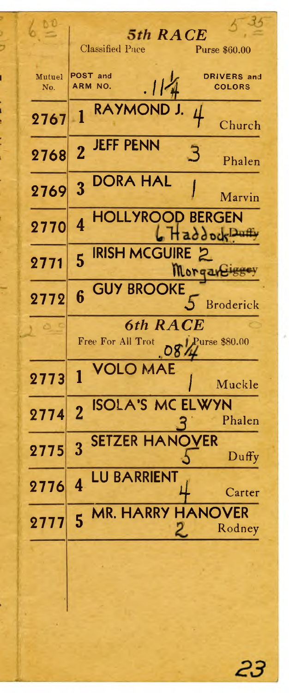|               | 5th RACE<br><b>Classified Pace</b><br><b>Purse \$60.00</b>   |
|---------------|--------------------------------------------------------------|
| Mutuel<br>No. | POST and<br>DRIVERS and<br>. 114<br>ARM NO.<br><b>COLORS</b> |
| 2767          | RAYMONI<br>4<br>$\blacksquare$<br>Church                     |
| 2768          | <b>JEFF PENN</b><br>$\overline{2}$<br>З<br>Phalen            |
| 2769          | <b>DORA HAL</b><br>3<br>Marvin                               |
| 2770          | <b>HOLLYROOD BERGEN</b><br>4<br>6 Haddock Dun                |
| 2771          | <b>IRISH MCGUIRE 2</b><br>5<br>Morgar                        |
| 2772          | <b>GUY BROOKE</b><br>6<br><b>Broderick</b>                   |
|               | 6th RACE<br>Free For All Trot<br>Purse \$80.00<br>08         |
| 2773          | <b>OLO MAE</b><br>Muckle                                     |
| 2774          | <b>ISOLA'S MC ELWYN</b><br>$\overline{2}$<br>Phalen          |
| 2775          | <b>SETZER HANOVER</b><br>3<br>$D$ uffy                       |
| 2776          | <b>LU BARRIENT</b><br>$\overline{4}$<br>Carter               |
| 2777          | 5 MR. HARRY HANOVER<br>Rodney<br>2.                          |
|               |                                                              |

23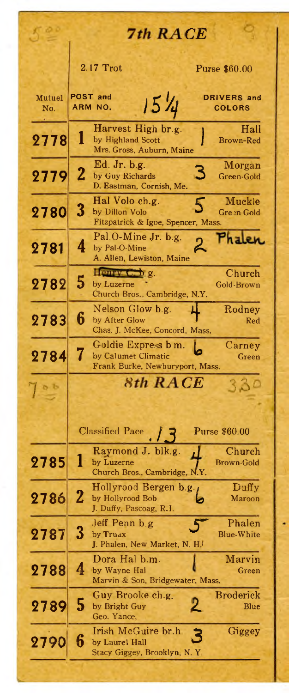| 00            | 7th RACE                                                                                                 |
|---------------|----------------------------------------------------------------------------------------------------------|
|               | 2.17 Trot<br><b>Purse \$60.00</b>                                                                        |
| Mutuel<br>No. | <b>POST and</b><br><b>DRIVERS</b> and<br>15'4<br>ARM NO.<br><b>COLORS</b>                                |
| 2778          | Harvest High br.g.<br>Hall<br>ı<br>by Highland Scott<br><b>Brown-Red</b><br>Mrs. Gross, Auburn, Maine    |
| 2779          | Ed. Jr. b.g.<br>Morgan<br>З<br>2<br>by Guy Richards<br>Green-Gold<br>D. Eastman, Cornish, Me.            |
| 2780          | Hal Volo ch.g.<br>Muckle<br>5<br>3<br>by Dillon Volo<br>Green Gold<br>Fitzpatrick & Igoe, Spencer, Mass. |
| 2781          | Pal.O-Mine Jr. b.g.<br>4<br>by Pal-O-Mine<br>A. Allen, Lewiston, Maine                                   |
| 2782          | Church<br>Недру С. о. д.<br>5<br>by Luzerne<br><b>Gold-Brown</b><br>Church Bros., Cambridge, N.Y.        |
| 2783          | Nelson Glow b.g.<br>Rodney<br>6<br>by After Glow<br>Red<br>Chas. J. McKee, Concord, Mass.                |
| 2784          | Goldie Express b m.<br>Carney<br>7<br>by Calumet Climatic<br>Green<br>Frank Burke, Newburyport, Mass.    |
|               | 8th RACE                                                                                                 |
|               | <b>Classified Pace</b><br>Purse \$60.00                                                                  |
| 2785          | Raymond J. blk.g.<br>Church<br>by Luzerne<br>Brown-Gold<br>Church Bros., Cambridge, N.Y.                 |
| 2786          | Duffy<br>Hollyrood Bergen b.g.<br>$\mathbf 2$<br>by Hollyrood Bob<br>Maroon<br>J. Duffy, Pascoag, R.I.   |
| 2787          | Phalen<br>Jeff Penn b g<br>3<br>by Truax<br><b>Blue-White</b><br>J. Phalen, New Market, N. H.            |
| 2788          | Dora Hal b.m.<br>Marvin<br>4<br>by Wayne Hal<br>Green<br>Marvin & Son, Bridgewater, Mass.                |
| 2789          | <b>Broderick</b><br>Guy Brooke ch.g.<br>5<br>by Bright Guy<br>Blue<br>Geo. Yance,                        |
| 2790          | Giggey<br>Irish McGuire br.h<br>6<br>by Laurel Hall<br>Stacy Giggey, Brooklyn, N. Y                      |